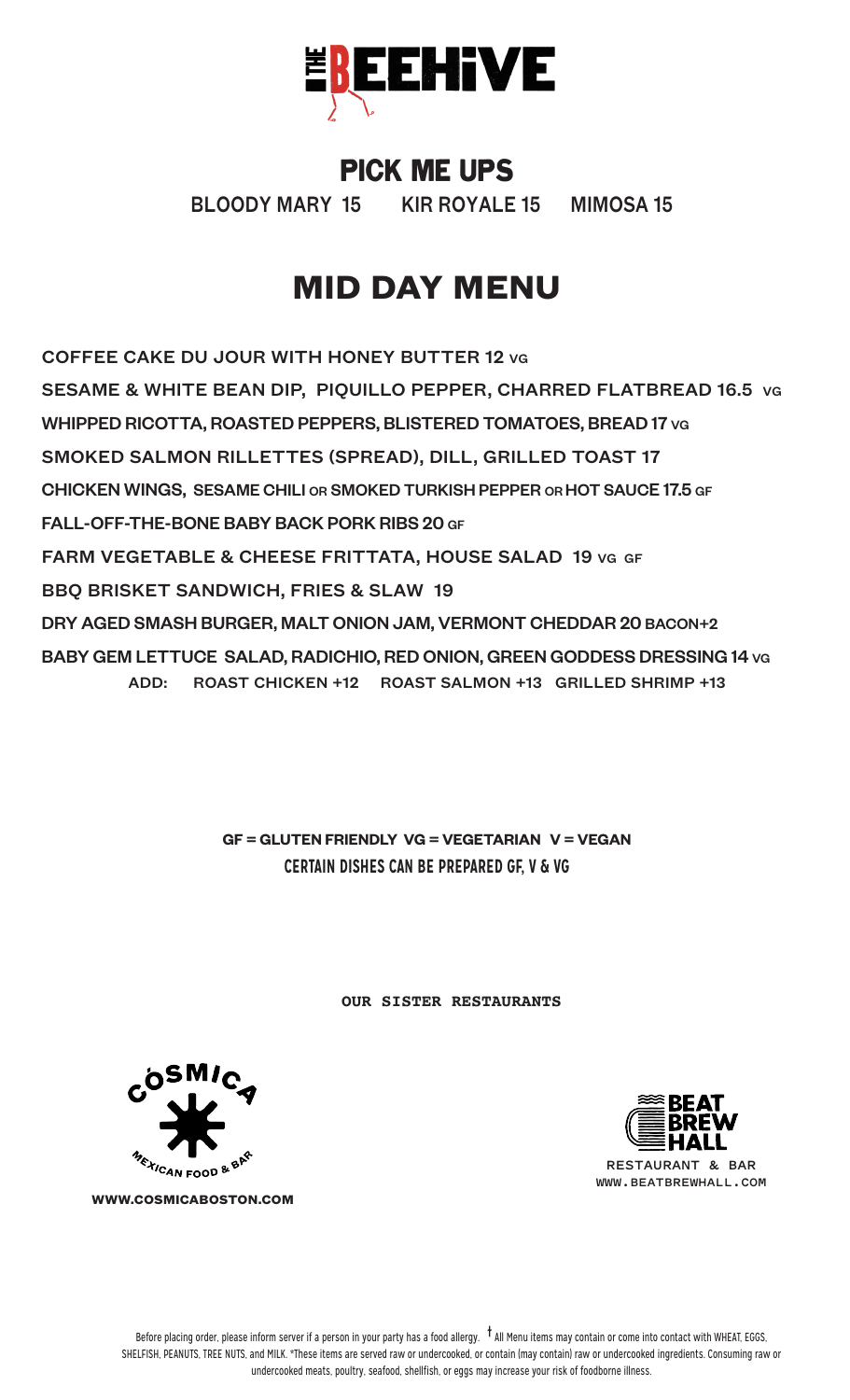

#### PICK ME UPS

BLOODY MARY 15 KIR ROYALE 15 MIMOSA 15

# **MID DAY MENU**

COFFEE CAKE DU JOUR WITH HONEY BUTTER 12 VG SESAME & WHITE BEAN DIP, PIQUILLO PEPPER, CHARRED FLATBREAD 16.5 VG WHIPPED RICOTTA, ROASTED PEPPERS, BLISTERED TOMATOES, BREAD 17 VG SMOKED SALMON RILLETTES (SPREAD), DILL, GRILLED TOAST 17 CHICKEN WINGS, SESAME CHILI OR SMOKED TURKISH PEPPER OR HOT SAUCE 17.5 GF FALL-OFF-THE-BONE BABY BACK PORK RIBS 20 GF FARM VEGETABLE & CHEESE FRITTATA, HOUSE SALAD 19 VG GF BBQ BRISKET SANDWICH, FRIES & SLAW 19 DRY AGED SMASH BURGER, MALT ONION JAM, VERMONT CHEDDAR 20 BACON+2 BABY GEM LETTUCE SALAD, RADICHIO, RED ONION, GREEN GODDESS DRESSING 14 VG ADD: ROAST CHICKEN +12 ROAST SALMON +13 GRILLED SHRIMP +13

> **GF = GLUTEN FRIENDLY VG = VEGETARIAN V = VEGAN CERTAIN DISHES CAN BE PREPARED GF, V & VG**

> > **OUR SISTER RESTAURANTS**



**WWW.BEATBREWHALL.COM**



**WWW.COSMICABOSTON.COM**